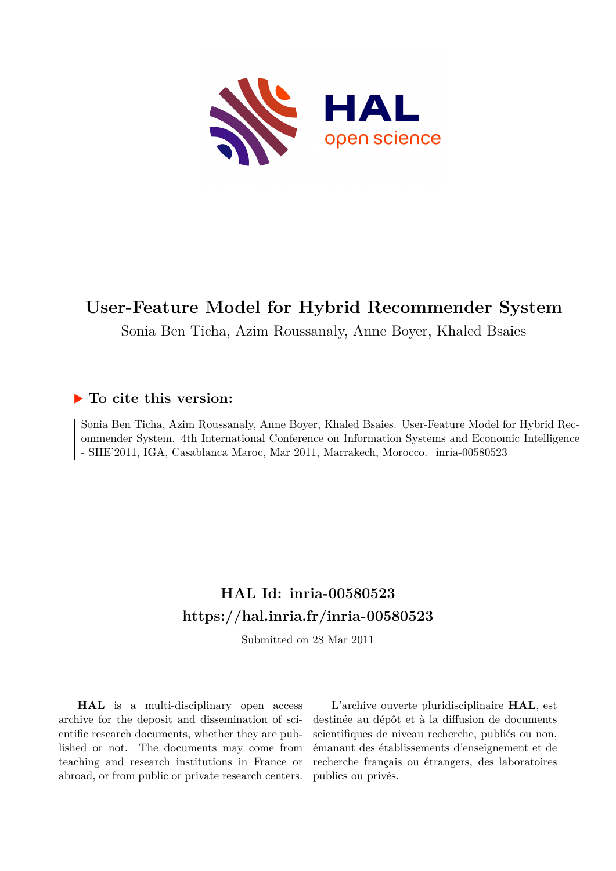

## **User-Feature Model for Hybrid Recommender System**

Sonia Ben Ticha, Azim Roussanaly, Anne Boyer, Khaled Bsaies

### **To cite this version:**

Sonia Ben Ticha, Azim Roussanaly, Anne Boyer, Khaled Bsaies. User-Feature Model for Hybrid Recommender System. 4th International Conference on Information Systems and Economic Intelligence - SIIE'2011, IGA, Casablanca Maroc, Mar 2011, Marrakech, Morocco. inria-00580523

## **HAL Id: inria-00580523 <https://hal.inria.fr/inria-00580523>**

Submitted on 28 Mar 2011

**HAL** is a multi-disciplinary open access archive for the deposit and dissemination of scientific research documents, whether they are published or not. The documents may come from teaching and research institutions in France or abroad, or from public or private research centers.

L'archive ouverte pluridisciplinaire **HAL**, est destinée au dépôt et à la diffusion de documents scientifiques de niveau recherche, publiés ou non, émanant des établissements d'enseignement et de recherche français ou étrangers, des laboratoires publics ou privés.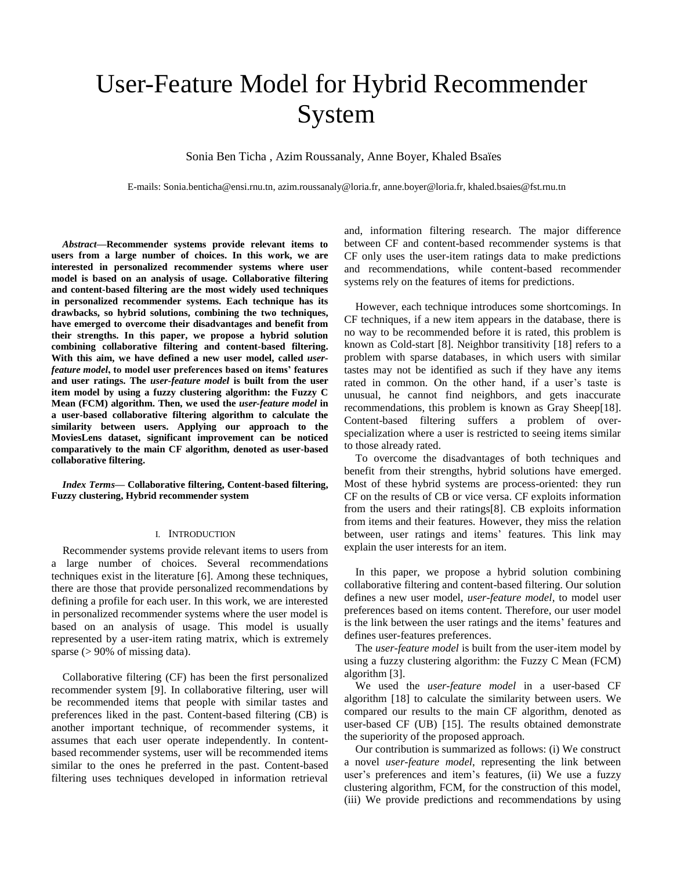# User-Feature Model for Hybrid Recommender System

Sonia Ben Ticha , Azim Roussanaly, Anne Boyer, Khaled Bsaïes

E-mails: Sonia.benticha@ensi.rnu.tn, azim.roussanaly@loria.fr, anne.boyer@loria.fr, khaled.bsaies@fst.rnu.tn

*Abstract***—Recommender systems provide relevant items to users from a large number of choices. In this work, we are interested in personalized recommender systems where user model is based on an analysis of usage. Collaborative filtering and content-based filtering are the most widely used techniques in personalized recommender systems. Each technique has its drawbacks, so hybrid solutions, combining the two techniques, have emerged to overcome their disadvantages and benefit from their strengths. In this paper, we propose a hybrid solution combining collaborative filtering and content-based filtering. With this aim, we have defined a new user model, called** *userfeature model***, to model user preferences based on items' features and user ratings. The** *user-feature model* **is built from the user item model by using a fuzzy clustering algorithm: the Fuzzy C Mean (FCM) algorithm. Then, we used the** *user-feature model* **in a user-based collaborative filtering algorithm to calculate the similarity between users. Applying our approach to the MoviesLens dataset, significant improvement can be noticed comparatively to the main CF algorithm, denoted as user-based collaborative filtering.** 

*Index Terms***— Collaborative filtering, Content-based filtering, Fuzzy clustering, Hybrid recommender system**

#### I. INTRODUCTION

Recommender systems provide relevant items to users from a large number of choices. Several recommendations techniques exist in the literature [6]. Among these techniques, there are those that provide personalized recommendations by defining a profile for each user. In this work, we are interested in personalized recommender systems where the user model is based on an analysis of usage. This model is usually represented by a user-item rating matrix, which is extremely sparse  $(>90\%$  of missing data).

Collaborative filtering (CF) has been the first personalized recommender system [9]. In collaborative filtering, user will be recommended items that people with similar tastes and preferences liked in the past. Content-based filtering (CB) is another important technique, of recommender systems, it assumes that each user operate independently. In contentbased recommender systems, user will be recommended items similar to the ones he preferred in the past. Content-based filtering uses techniques developed in information retrieval

and, information filtering research. The major difference between CF and content-based recommender systems is that CF only uses the user-item ratings data to make predictions and recommendations, while content-based recommender systems rely on the features of items for predictions.

However, each technique introduces some shortcomings. In CF techniques, if a new item appears in the database, there is no way to be recommended before it is rated, this problem is known as Cold-start [8]. Neighbor transitivity [18] refers to a problem with sparse databases, in which users with similar tastes may not be identified as such if they have any items rated in common. On the other hand, if a user's taste is unusual, he cannot find neighbors, and gets inaccurate recommendations, this problem is known as Gray Sheep[18]. Content-based filtering suffers a problem of overspecialization where a user is restricted to seeing items similar to those already rated.

To overcome the disadvantages of both techniques and benefit from their strengths, hybrid solutions have emerged. Most of these hybrid systems are process-oriented: they run CF on the results of CB or vice versa. CF exploits information from the users and their ratings[8]. CB exploits information from items and their features. However, they miss the relation between, user ratings and items' features. This link may explain the user interests for an item.

In this paper, we propose a hybrid solution combining collaborative filtering and content-based filtering. Our solution defines a new user model, *user-feature model*, to model user preferences based on items content. Therefore, our user model is the link between the user ratings and the items' features and defines user-features preferences.

The *user-feature model* is built from the user-item model by using a fuzzy clustering algorithm: the Fuzzy C Mean (FCM) algorithm [3].

We used the *user-feature model* in a user-based CF algorithm [18] to calculate the similarity between users. We compared our results to the main CF algorithm, denoted as user-based CF (UB) [15]. The results obtained demonstrate the superiority of the proposed approach.

Our contribution is summarized as follows: (i) We construct a novel *user-feature model*, representing the link between user's preferences and item's features, (ii) We use a fuzzy clustering algorithm, FCM, for the construction of this model, (iii) We provide predictions and recommendations by using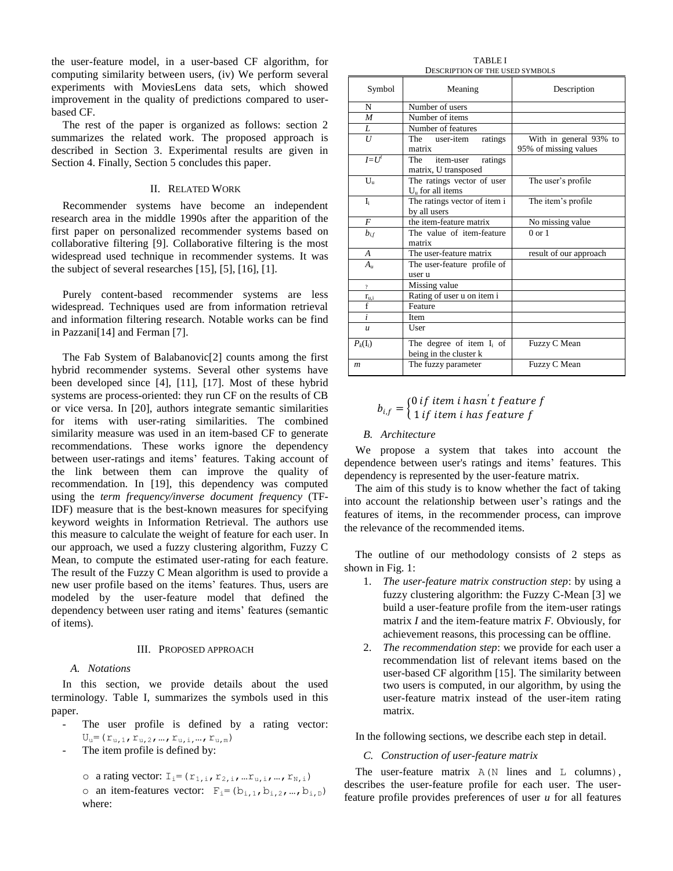the user-feature model, in a user-based CF algorithm, for computing similarity between users, (iv) We perform several experiments with MoviesLens data sets, which showed improvement in the quality of predictions compared to userbased CF.

The rest of the paper is organized as follows: section 2 summarizes the related work. The proposed approach is described in Section 3. Experimental results are given in Section 4. Finally, Section 5 concludes this paper.

#### II. RELATED WORK

Recommender systems have become an independent research area in the middle 1990s after the apparition of the first paper on personalized recommender systems based on collaborative filtering [9]. Collaborative filtering is the most widespread used technique in recommender systems. It was the subject of several researches [15], [5], [16], [1].

Purely content-based recommender systems are less widespread. Techniques used are from information retrieval and information filtering research. Notable works can be find in Pazzani[14] and Ferman [7].

The Fab System of Balabanovic[2] counts among the first hybrid recommender systems. Several other systems have been developed since [4], [11], [17]. Most of these hybrid systems are process-oriented: they run CF on the results of CB or vice versa. In [20], authors integrate semantic similarities for items with user-rating similarities. The combined similarity measure was used in an item-based CF to generate recommendations. These works ignore the dependency between user-ratings and items' features. Taking account of the link between them can improve the quality of recommendation. In [19], this dependency was computed using the *term frequency/inverse document frequency* (TF-IDF) measure that is the best-known measures for specifying keyword weights in Information Retrieval. The authors use this measure to calculate the weight of feature for each user. In our approach, we used a fuzzy clustering algorithm, Fuzzy C Mean, to compute the estimated user-rating for each feature. The result of the Fuzzy C Mean algorithm is used to provide a new user profile based on the items' features. Thus, users are modeled by the user-feature model that defined the dependency between user rating and items' features (semantic of items).

#### III. PROPOSED APPROACH

#### *A. Notations*

In this section, we provide details about the used terminology. Table I, summarizes the symbols used in this paper.

- The user profile is defined by a rating vector:  $\mathtt{U}_\mathtt{u} = (\mathtt{r}_{\mathtt{u},1},\mathtt{r}_{\mathtt{u},2},...,\mathtt{r}_{\mathtt{u},i},...,\mathtt{r}_{\mathtt{u},m})$
- The item profile is defined by:
	- o a rating vector:  $I_i = (r_{1,i}, r_{2,i},...r_{u,i},...,r_{N,i})$
	- o an item-features vector:  $F_i = (b_{i,1}, b_{i,2}, ..., b_{i,D})$ where:

TABLE I DESCRIPTION OF THE USED SYMBOLS

| Symbol           | Meaning                                               | Description            |  |  |
|------------------|-------------------------------------------------------|------------------------|--|--|
| N                | Number of users                                       |                        |  |  |
| $\boldsymbol{M}$ | Number of items                                       |                        |  |  |
| L                | Number of features                                    |                        |  |  |
| U                | The<br>user-item<br>ratings                           | With in general 93% to |  |  |
|                  | matrix                                                | 95% of missing values  |  |  |
| $I = Ut$         | The<br>item-user<br>ratings<br>matrix, U transposed   |                        |  |  |
| $U_{\rm u}$      | The ratings vector of user<br>$Uu$ for all items      | The user's profile     |  |  |
| $I_i$            | The ratings vector of item i<br>by all users          | The item's profile     |  |  |
| $\overline{F}$   | the item-feature matrix                               | No missing value       |  |  |
| $b_{if}$         | The value of item-feature<br>matrix                   | $0$ or $1$             |  |  |
| A                | The user-feature matrix                               | result of our approach |  |  |
| $A_{\mu}$        | The user-feature profile of<br>user u                 |                        |  |  |
| $\overline{?}$   | Missing value                                         |                        |  |  |
| $r_{u,i}$        | Rating of user u on item i                            |                        |  |  |
| $\overline{f}$   | Feature                                               |                        |  |  |
| $\dot{i}$        | Item                                                  |                        |  |  |
| $\boldsymbol{u}$ | User                                                  |                        |  |  |
| $P_k(I_i)$       | The degree of item $I_i$ of<br>being in the cluster k | Fuzzy C Mean           |  |  |
| $\boldsymbol{m}$ | The fuzzy parameter                                   | Fuzzy C Mean           |  |  |

#### $b_{i,f} = \begin{cases} 0 \text{ if item } i \text{ hasn } t \text{ feature } f \\ 1 \text{ if item } i \text{ has feature } f \end{cases}$ 1 if item i has feature f

#### *B. Architecture*

We propose a system that takes into account the dependence between user's ratings and items' features. This dependency is represented by the user-feature matrix.

The aim of this study is to know whether the fact of taking into account the relationship between user's ratings and the features of items, in the recommender process, can improve the relevance of the recommended items.

The outline of our methodology consists of 2 steps as shown in Fig. 1:

- 1. *The user-feature matrix construction step*: by using a fuzzy clustering algorithm: the Fuzzy C-Mean [3] we build a user-feature profile from the item-user ratings matrix *I* and the item-feature matrix *F.* Obviously, for achievement reasons, this processing can be offline.
- 2. *The recommendation step*: we provide for each user a recommendation list of relevant items based on the user-based CF algorithm [15]. The similarity between two users is computed, in our algorithm, by using the user-feature matrix instead of the user-item rating matrix.

In the following sections, we describe each step in detail.

#### *C. Construction of user-feature matrix*

The user-feature matrix  $A(N)$  lines and  $L$  columns), describes the user-feature profile for each user. The userfeature profile provides preferences of user *u* for all features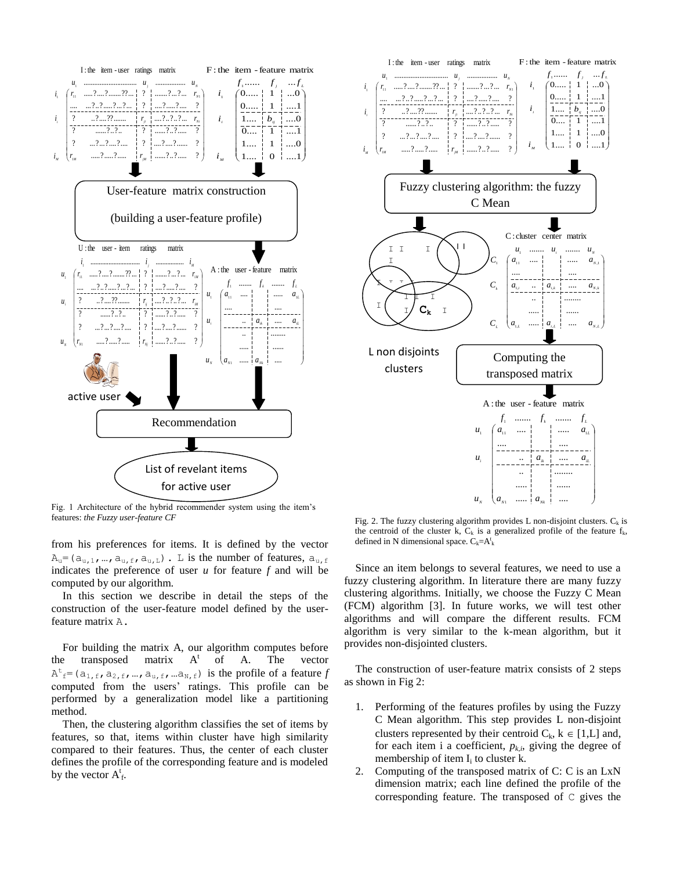

Fig. 1 Architecture of the hybrid recommender system using the item's features: *the Fuzzy user-feature CF*

from his preferences for items. It is defined by the vector  $A_u = (a_{u,1},...,a_{u,f},a_{u,L})$ . L is the number of features,  $a_{u,f}$ indicates the preference of user *u* for feature *f* and will be computed by our algorithm.

In this section we describe in detail the steps of the construction of the user-feature model defined by the userfeature matrix A.

For building the matrix A, our algorithm computes before the transposed matrix  $A^t$ of A. The vector  $A^t$ <sub>f</sub>=( $a_{1,f}$ ,  $a_{2,f}$ , ...,  $a_{u,f}$ , ...,  $a_{N,f}$ ) is the profile of a feature *f* computed from the users' ratings. This profile can be performed by a generalization model like a partitioning method.

Then, the clustering algorithm classifies the set of items by features, so that, items within cluster have high similarity compared to their features. Thus, the center of each cluster defines the profile of the corresponding feature and is modeled by the vector  $A_f^t$ .



Fig. 2. The fuzzy clustering algorithm provides L non-disjoint clusters.  $C_k$  is the centroid of the cluster k,  $C_k$  is a generalized profile of the feature  $f_k$ , defined in N dimensional space.  $C_k = A_k^t$ 

Since an item belongs to several features, we need to use a fuzzy clustering algorithm. In literature there are many fuzzy clustering algorithms. Initially, we choose the Fuzzy C Mean (FCM) algorithm [3]. In future works, we will test other algorithms and will compare the different results. FCM algorithm is very similar to the k-mean algorithm, but it provides non-disjointed clusters.

The construction of user-feature matrix consists of 2 steps as shown in Fig 2:

- 1. Performing of the features profiles by using the Fuzzy C Mean algorithm. This step provides L non-disjoint clusters represented by their centroid  $C_k$ ,  $k \in [1,L]$  and, for each item i a coefficient,  $p_{k,i}$ , giving the degree of membership of item  $I_i$  to cluster k.
- 2. Computing of the transposed matrix of C: C is an LxN dimension matrix; each line defined the profile of the corresponding feature. The transposed of C gives the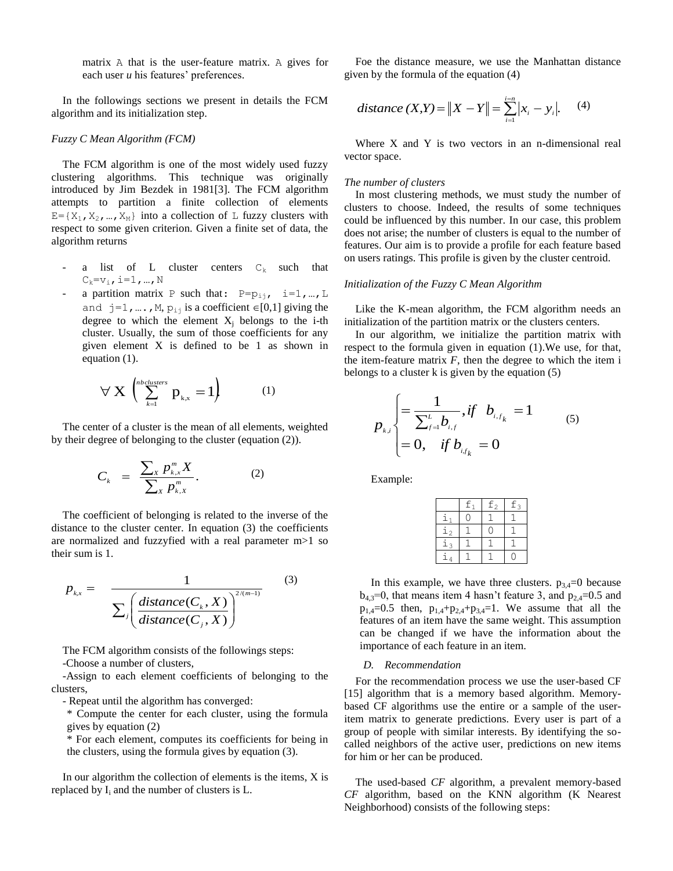matrix A that is the user-feature matrix. A gives for each user *u* his features' preferences.

In the followings sections we present in details the FCM algorithm and its initialization step.

#### *Fuzzy C Mean Algorithm (FCM)*

The FCM algorithm is one of the most widely used fuzzy clustering algorithms. This technique was originally introduced by Jim Bezdek in 1981[3]. The FCM algorithm attempts to partition a finite collection of elements  $E = {X_1, X_2, ..., X_M}$  into a collection of L fuzzy clusters with respect to some given criterion. Given a finite set of data, the algorithm returns

- a list of L cluster centers  $C_k$  such that  $C_k = v_i$ , i=1, ..., N
- a partition matrix P such that:  $P=p_{i,j}$ ,  $i=1,...,L$ and  $j=1, \ldots, M$ ,  $p_{ij}$  is a coefficient  $\in [0,1]$  giving the degree to which the element  $X_i$  belongs to the i-th cluster. Usually, the sum of those coefficients for any given element X is defined to be 1 as shown in equation (1).

$$
\forall \mathbf{X} \left( \sum_{k=1}^{nb\text{ clusters}} p_{k,x} = 1 \right) \tag{1}
$$

The center of a cluster is the mean of all elements, weighted by their degree of belonging to the cluster (equation (2)).

$$
C_k = \frac{\sum_{x} p_{k,x}^m X}{\sum_{x} p_{k,x}^m}.
$$
 (2)

The coefficient of belonging is related to the inverse of the distance to the cluster center. In equation (3) the coefficients are normalized and fuzzyfied with a real parameter m>1 so their sum is 1.

$$
p_{k,x} = \frac{1}{\sum_{j} \left(\frac{distance(C_k, X)}{distance(C_j, X)}\right)^{2/(m-1)}} \tag{3}
$$

The FCM algorithm consists of the followings steps: -Choose a number of clusters,

-Assign to each element coefficients of belonging to the clusters,

- Repeat until the algorithm has converged:

\* Compute the center for each cluster, using the formula gives by equation (2)

\* For each element, computes its coefficients for being in the clusters, using the formula gives by equation (3).

In our algorithm the collection of elements is the items, X is replaced by  $I_i$  and the number of clusters is  $L$ .

Foe the distance measure, we use the Manhattan distance given by the formula of the equation (4)

distance (X,Y) = 
$$
||X - Y|| = \sum_{i=1}^{i=n} |x_i - y_i|
$$
. (4)

Where X and Y is two vectors in an n-dimensional real vector space.

#### *The number of clusters*

In most clustering methods, we must study the number of clusters to choose. Indeed, the results of some techniques could be influenced by this number. In our case, this problem does not arise; the number of clusters is equal to the number of features. Our aim is to provide a profile for each feature based on users ratings. This profile is given by the cluster centroid.

#### *Initialization of the Fuzzy C Mean Algorithm*

Like the K-mean algorithm, the FCM algorithm needs an initialization of the partition matrix or the clusters centers.

In our algorithm, we initialize the partition matrix with respect to the formula given in equation (1).We use, for that, the item-feature matrix  $F$ , then the degree to which the item i belongs to a cluster k is given by the equation (5)

$$
p_{_{k,i}}\begin{cases}=\frac{1}{\sum_{j=1}^{L}b_{_{i,j}}}, \text{if} \quad b_{_{i,f_k}}=1\\=0, \quad \text{if} \ b_{_{i,f_k}}=0\end{cases} \qquad (5)
$$

Example:

|               | $\underline{\mathbf{f}}_1$ | $\underline{\mathtt{f}}_2$ | $f_3$ |
|---------------|----------------------------|----------------------------|-------|
|               |                            |                            |       |
| $\frac{1}{2}$ |                            |                            |       |
| $\frac{1}{3}$ |                            |                            |       |
|               |                            |                            |       |

In this example, we have three clusters.  $p_{3,4}=0$  because  $b_{4,3}=0$ , that means item 4 hasn't feature 3, and  $p_{2,4}=0.5$  and  $p_{1,4}=0.5$  then,  $p_{1,4}+p_{2,4}+p_{3,4}=1$ . We assume that all the features of an item have the same weight. This assumption can be changed if we have the information about the importance of each feature in an item.

#### *D. Recommendation*

For the recommendation process we use the user-based CF [15] algorithm that is a memory based algorithm. Memorybased CF algorithms use the entire or a sample of the useritem matrix to generate predictions. Every user is part of a group of people with similar interests. By identifying the socalled neighbors of the active user, predictions on new items for him or her can be produced.

The used-based *CF* algorithm, a prevalent memory-based *CF* algorithm, based on the KNN algorithm (K Nearest Neighborhood) consists of the following steps: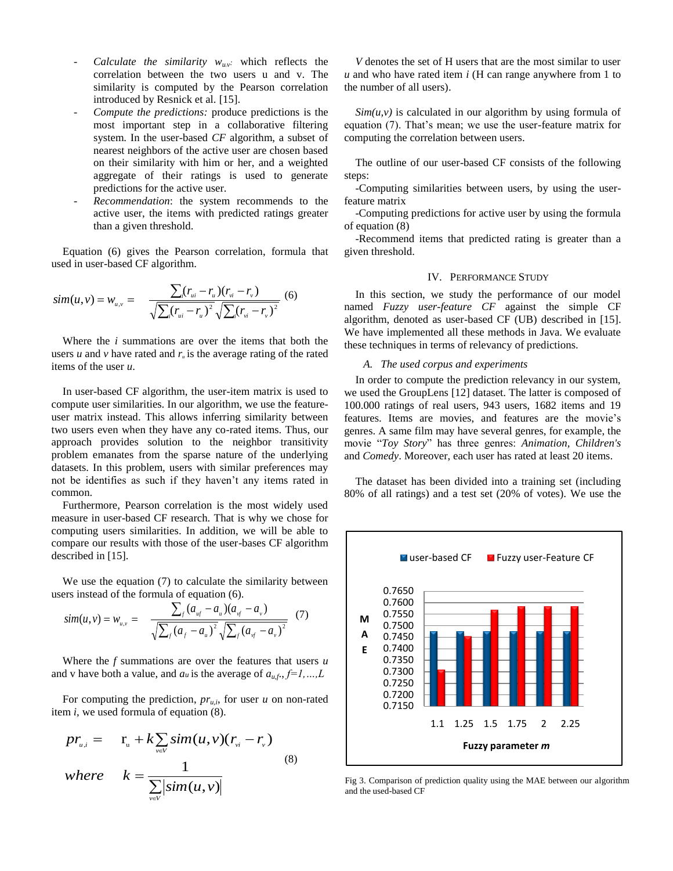- *Calculate the similarity*  $w_{\mu\nu}$  which reflects the correlation between the two users u and v. The similarity is computed by the Pearson correlation introduced by Resnick et al. [15].
- *Compute the predictions:* produce predictions is the most important step in a collaborative filtering system. In the user-based *CF* algorithm, a subset of nearest neighbors of the active user are chosen based on their similarity with him or her, and a weighted aggregate of their ratings is used to generate predictions for the active user.
- *Recommendation*: the system recommends to the active user, the items with predicted ratings greater than a given threshold.

Equation (6) gives the Pearson correlation, formula that used in user-based CF algorithm.

$$
sim(u, v) = w_{u, v} = \frac{\sum_{i}(r_{ui} - r_{u})(r_{vi} - r_{v})}{\sqrt{\sum_{i}(r_{ui} - r_{u})^{2}}\sqrt{\sum_{i}(r_{vi} - r_{v})^{2}}}
$$
(6)

Where the *i* summations are over the items that both the users *u* and *v* have rated and  $r<sub>u</sub>$  is the average rating of the rated items of the user *u*.

In user-based CF algorithm, the user-item matrix is used to compute user similarities. In our algorithm, we use the featureuser matrix instead. This allows inferring similarity between two users even when they have any co-rated items. Thus, our approach provides solution to the neighbor transitivity problem emanates from the sparse nature of the underlying datasets. In this problem, users with similar preferences may not be identifies as such if they haven't any items rated in common.

Furthermore, Pearson correlation is the most widely used measure in user-based CF research. That is why we chose for computing users similarities. In addition, we will be able to compare our results with those of the user-bases CF algorithm described in [15].

We use the equation (7) to calculate the similarity between users instead of the formula of equation (6).

$$
sim(u, v) = w_{u,v} = \frac{\sum_{f} (a_{uf} - a_u)(a_{vf} - a_v)}{\sqrt{\sum_{f} (a_f - a_u)^2} \sqrt{\sum_{f} (a_{vf} - a_v)^2}}
$$
(7)

Where the *f* summations are over the features that users *u*  and v have both a value, and  $a_u$  is the average of  $a_{u,f}, f=1,...,L$ 

For computing the prediction,  $pr_{ui}$ , for user *u* on non-rated item *i*, we used formula of equation (8).

$$
pr_{u,i} = \mathbf{r}_{u} + k \sum_{v \in V} sim(u, v)(r_{vi} - r_{v})
$$
  
where 
$$
k = \frac{1}{\sum_{v \in V} |sim(u, v)|}
$$
 (8)

*V* denotes the set of H users that are the most similar to user *u* and who have rated item *i* (H can range anywhere from 1 to the number of all users).

 $Sim(u, v)$  is calculated in our algorithm by using formula of equation (7). That's mean; we use the user-feature matrix for computing the correlation between users.

The outline of our user-based CF consists of the following steps:

*-*Computing similarities between users, by using the userfeature matrix

-Computing predictions for active user by using the formula of equation (8)

-Recommend items that predicted rating is greater than a given threshold.

#### IV. PERFORMANCE STUDY

In this section, we study the performance of our model named *Fuzzy user-feature CF* against the simple CF algorithm, denoted as user-based CF (UB) described in [15]. We have implemented all these methods in Java. We evaluate these techniques in terms of relevancy of predictions.

#### *A. The used corpus and experiments*

In order to compute the prediction relevancy in our system, we used the GroupLens [12] dataset. The latter is composed of 100.000 ratings of real users, 943 users, 1682 items and 19 features. Items are movies, and features are the movie's genres. A same film may have several genres, for example, the movie "*Toy Story*" has three genres: *Animation, Children's* and *Comedy*. Moreover, each user has rated at least 20 items.

The dataset has been divided into a training set (including 80% of all ratings) and a test set (20% of votes). We use the



Fig 3. Comparison of prediction quality using the MAE between our algorithm and the used-based CF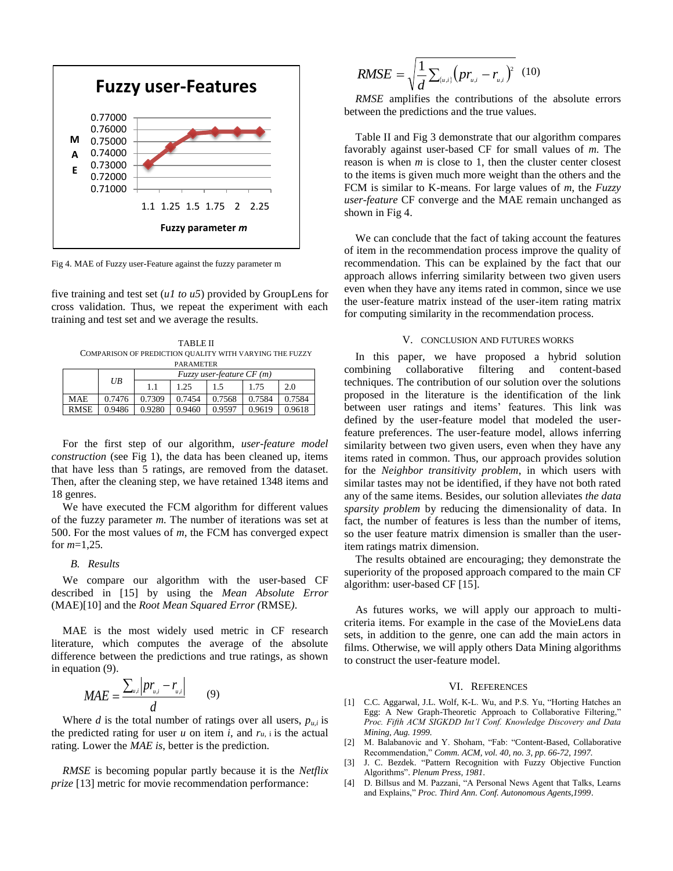

Fig 4. MAE of Fuzzy user-Feature against the fuzzy parameter m

five training and test set (*u1 to u5*) provided by GroupLens for cross validation. Thus, we repeat the experiment with each training and test set and we average the results.

TABLE II COMPARISON OF PREDICTION QUALITY WITH VARYING THE FUZZY PARAMETER

|             | UB     | $Fuzzy$ user-feature $CF(m)$ |        |        |        |        |
|-------------|--------|------------------------------|--------|--------|--------|--------|
|             |        |                              | 1.25   | 1.5    | 1.75   | 2.0    |
| <b>MAE</b>  | 0.7476 | 0.7309                       | 0.7454 | 0.7568 | 0.7584 | 0.7584 |
| <b>RMSE</b> | 0.9486 | 0.9280                       | 0.9460 | 0.9597 | 0.9619 | 0.9618 |

For the first step of our algorithm, *user-feature model construction* (see Fig 1), the data has been cleaned up, items that have less than 5 ratings, are removed from the dataset. Then, after the cleaning step, we have retained 1348 items and 18 genres.

We have executed the FCM algorithm for different values of the fuzzy parameter *m.* The number of iterations was set at 500. For the most values of *m*, the FCM has converged expect for *m*=1,25*.*

#### *B. Results*

We compare our algorithm with the user-based CF described in [15] by using the *Mean Absolute Error*  (MAE)[10] and the *Root Mean Squared Error (*RMSE*)*.

MAE is the most widely used metric in CF research literature, which computes the average of the absolute difference between the predictions and true ratings, as shown in equation (9).

$$
MAE = \frac{\sum_{u,i} \left| pr_{u,i} - r_{u,i} \right|}{d} \qquad (9)
$$

Where *d* is the total number of ratings over all users,  $p_{ui}$  is the predicted rating for user *u* on item *i*, and  $r_u$ , *i* is the actual rating. Lower the *MAE is*, better is the prediction.

*RMSE* is becoming popular partly because it is the *Netflix prize* [13] metric for movie recommendation performance:

$$
RMSE = \sqrt{\frac{1}{d} \sum_{(u,i)} (pr_{u,i} - r_{u,i})^2} (10)
$$

*RMSE* amplifies the contributions of the absolute errors between the predictions and the true values.

Table II and Fig 3 demonstrate that our algorithm compares favorably against user-based CF for small values of *m.* The reason is when *m* is close to 1, then the cluster center closest to the items is given much more weight than the others and the FCM is similar to K-means. For large values of *m*, the *Fuzzy user-feature* CF converge and the MAE remain unchanged as shown in Fig 4.

We can conclude that the fact of taking account the features of item in the recommendation process improve the quality of recommendation. This can be explained by the fact that our approach allows inferring similarity between two given users even when they have any items rated in common, since we use the user-feature matrix instead of the user-item rating matrix for computing similarity in the recommendation process.

#### V. CONCLUSION AND FUTURES WORKS

In this paper, we have proposed a hybrid solution combining collaborative filtering and content-based techniques. The contribution of our solution over the solutions proposed in the literature is the identification of the link between user ratings and items' features. This link was defined by the user-feature model that modeled the userfeature preferences. The user-feature model, allows inferring similarity between two given users, even when they have any items rated in common. Thus, our approach provides solution for the *Neighbor transitivity problem*, in which users with similar tastes may not be identified, if they have not both rated any of the same items. Besides, our solution alleviates *the data sparsity problem* by reducing the dimensionality of data. In fact, the number of features is less than the number of items, so the user feature matrix dimension is smaller than the useritem ratings matrix dimension.

The results obtained are encouraging; they demonstrate the superiority of the proposed approach compared to the main CF algorithm: user-based CF [15].

As futures works, we will apply our approach to multicriteria items. For example in the case of the MovieLens data sets, in addition to the genre, one can add the main actors in films. Otherwise, we will apply others Data Mining algorithms to construct the user-feature model.

#### VI. REFERENCES

- [1] C.C. Aggarwal, J.L. Wolf, K-L. Wu, and P.S. Yu, "Horting Hatches an Egg: A New Graph-Theoretic Approach to Collaborative Filtering," *Proc. Fifth ACM SIGKDD Int'l Conf. Knowledge Discovery and Data Mining, Aug. 1999.*
- [2] M. Balabanovic and Y. Shoham, "Fab: "Content-Based, Collaborative Recommendation," *Comm. ACM, vol. 40, no. 3, pp. 66-72, 1997.*
- [3] J. C. Bezdek. "Pattern Recognition with Fuzzy Objective Function Algorithms". *Plenum Press, 1981*.
- [4] D. Billsus and M. Pazzani, "A Personal News Agent that Talks, Learns and Explains," *Proc. Third Ann. Conf. Autonomous Agents,1999*.